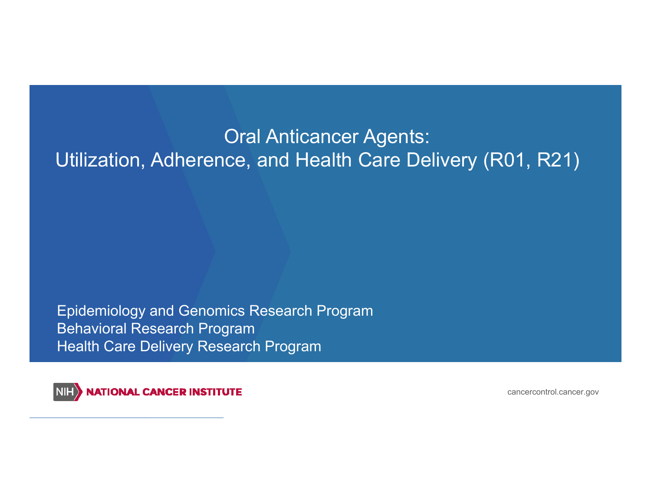### Oral Anticancer Agents: Utilization, Adherence, and Health Care Delivery (R01, R21)

Epidemiology and Genomics Research Program Behavioral Research Program Health Care Delivery Research Program

**NATIONAL CANCER INSTITUTE**  $NH)$ 

cancercontrol.cancer.gov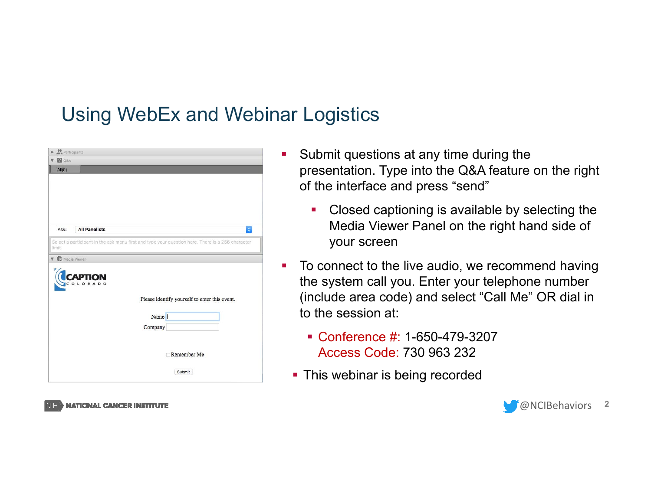### Using WebEx and Webinar Logistics

Г

| ь                       | Participants                                                                                     |
|-------------------------|--------------------------------------------------------------------------------------------------|
| $\nabla$ 2 Q&A          |                                                                                                  |
| All(0)                  |                                                                                                  |
|                         |                                                                                                  |
|                         |                                                                                                  |
|                         |                                                                                                  |
|                         |                                                                                                  |
|                         |                                                                                                  |
|                         |                                                                                                  |
| Ask:                    | <b>All Panelists</b><br>$\hat{\mathcal{L}}$                                                      |
|                         | Select a participant in the ask menu first and type your question here. There is a 256 character |
| limit.                  |                                                                                                  |
| <b>V C</b> Media Viewer |                                                                                                  |
|                         | <b>NON</b><br>וקם<br>OLORADO                                                                     |
|                         |                                                                                                  |
|                         | Please identify yourself to enter this event.                                                    |
|                         |                                                                                                  |
|                         |                                                                                                  |
|                         |                                                                                                  |
|                         | Name                                                                                             |
|                         | Company                                                                                          |
|                         |                                                                                                  |
|                         |                                                                                                  |
|                         | Remember Me                                                                                      |
|                         | Submit                                                                                           |

- Submit questions at any time during the presentation. Type into the Q&A feature on the right of the interface and press "send"
	- ш Closed captioning is available by selecting the Media Viewer Panel on the right hand side of your screen
- $\mathcal{L}_{\mathcal{A}}$  To connect to the live audio, we recommend having the system call you. Enter your telephone number (include area code) and select "Call Me" OR dial in to the session at:
	- Conference #: 1-650-479-3207 Access Code: 730 963 232
	- **This webinar is being recorded**



**NATIONAL CANCER INSTITUTE**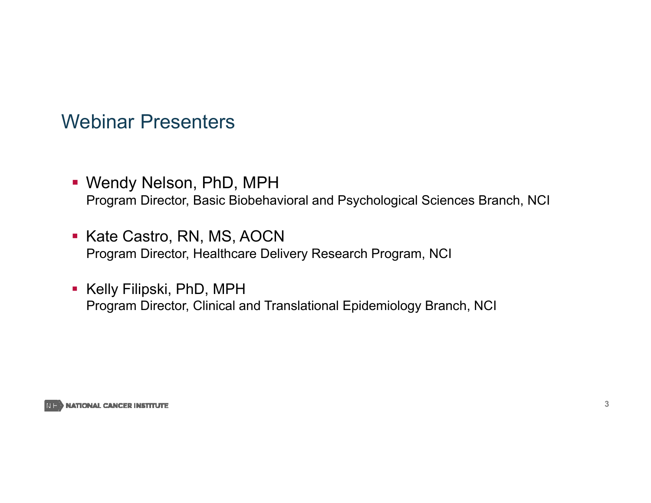#### Webinar Presenters

- Wendy Nelson, PhD, MPH Program Director, Basic Biobehavioral and Psychological Sciences Branch, NCI
- Kate Castro, RN, MS, AOCN Program Director, Healthcare Delivery Research Program, NCI
- Kelly Filipski, PhD, MPH Program Director, Clinical and Translational Epidemiology Branch, NCI

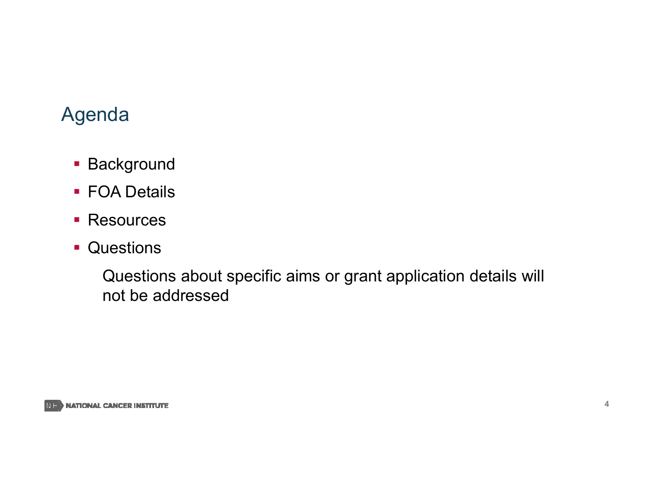## Agenda

- **Background**
- FOA Details
- **Resources**
- **Questions**

Questions about specific aims or grant application details will not be addressed

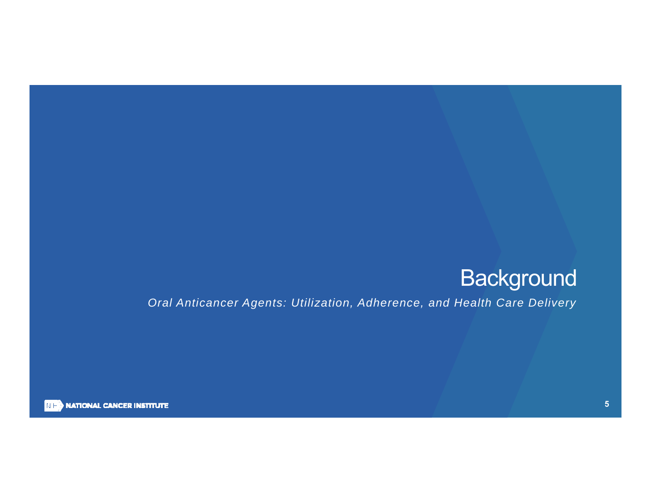# **Background**

*Oral Anticancer Agents: Utilization, Adherence, and Health Care Delivery* 



**NIEW NATIONAL CANCER INSTITUTE**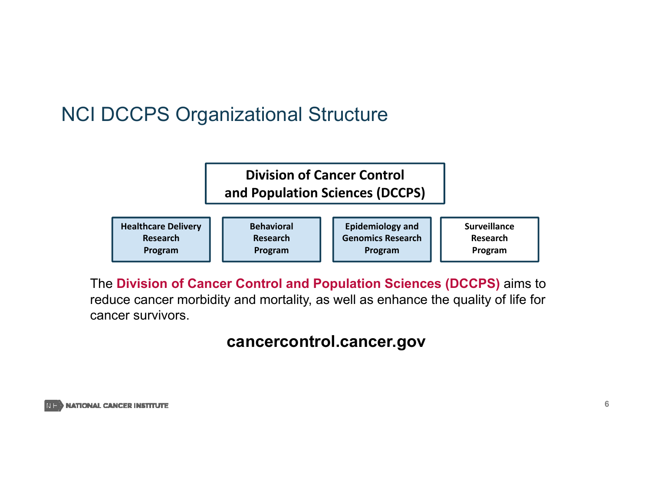## NCI DCCPS Organizational Structure

#### **Division of Cancer Control and Population Sciences (DCCPS)**

| <b>Healthcare Delivery</b> | <b>Behavioral</b> | <b>Epidemiology and</b>  | <b>Surveillance</b> |
|----------------------------|-------------------|--------------------------|---------------------|
| Research                   | Research          | <b>Genomics Research</b> | Research            |
| Program                    | Program           | Program                  | Program             |

The **Division of Cancer Control and Population Sciences (DCCPS)** aims to reduce cancer morbidity and mortality, as well as enhance the quality of life for cancer survivors.

#### **cancercontrol.cancer.gov**

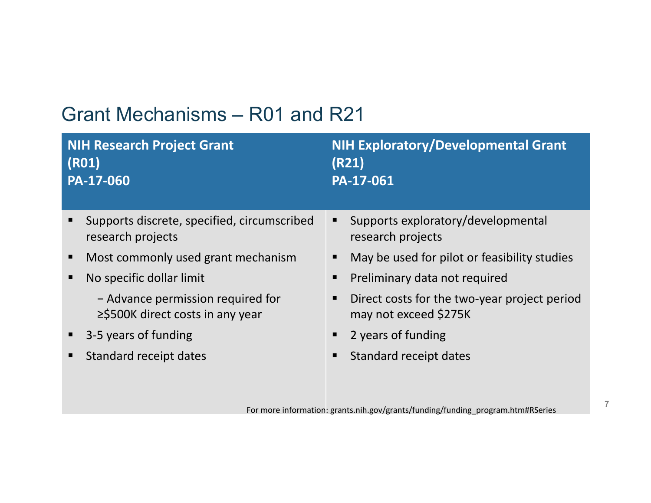## Grant Mechanisms – R01 and R21

| <b>NIH Research Project Grant</b><br>(R01)<br>PA-17-060 |                                                                       | <b>NIH Exploratory/Developmental Grant</b><br>(R21)<br>PA-17-061 |                                                                       |
|---------------------------------------------------------|-----------------------------------------------------------------------|------------------------------------------------------------------|-----------------------------------------------------------------------|
|                                                         | Supports discrete, specified, circumscribed<br>research projects      | Е                                                                | Supports exploratory/developmental<br>research projects               |
|                                                         | Most commonly used grant mechanism                                    | п                                                                | May be used for pilot or feasibility studies                          |
|                                                         | No specific dollar limit                                              | п                                                                | Preliminary data not required                                         |
|                                                         | - Advance permission required for<br>≥\$500K direct costs in any year |                                                                  | Direct costs for the two-year project period<br>may not exceed \$275K |
|                                                         | 3-5 years of funding                                                  |                                                                  | 2 years of funding                                                    |
|                                                         | Standard receipt dates                                                |                                                                  | Standard receipt dates                                                |

For more information: grants.nih.gov/grants/funding/funding\_program.htm#RSeries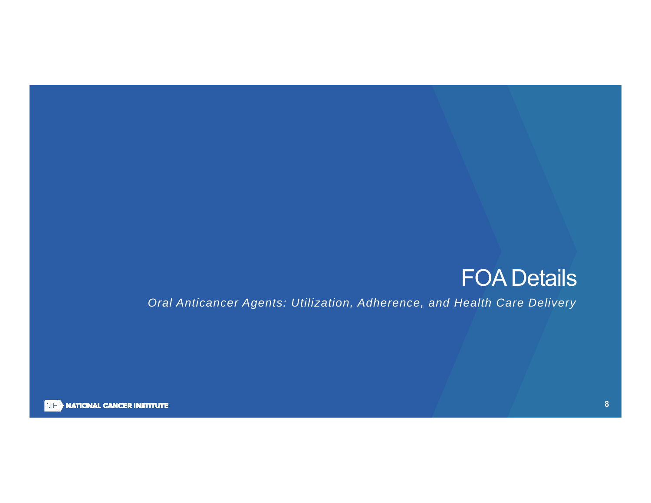## FOA Details

*Oral Anticancer Agents: Utilization, Adherence, and Health Care Delivery* 



**NIEW NATIONAL CANCER INSTITUTE**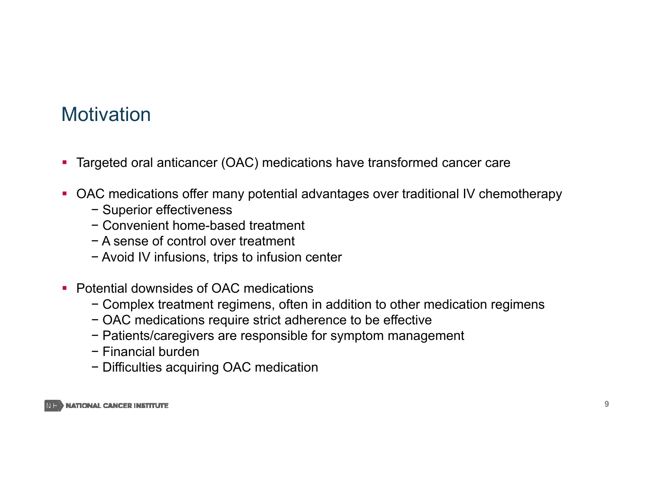### **Motivation**

- $\mathcal{L}_{\mathcal{A}}$ Targeted oral anticancer (OAC) medications have transformed cancer care
- OAC medications offer many potential advantages over traditional IV chemotherapy
	- − Superior effectiveness
	- − Convenient home-based treatment
	- − A sense of control over treatment
	- − Avoid IV infusions, trips to infusion center
- **Potential downsides of OAC medications** 
	- − Complex treatment regimens, often in addition to other medication regimens
	- − OAC medications require strict adherence to be effective
	- − Patients/caregivers are responsible for symptom management
	- − Financial burden
	- − Difficulties acquiring OAC medication

**NATIONAL CANCER INSTITUTE**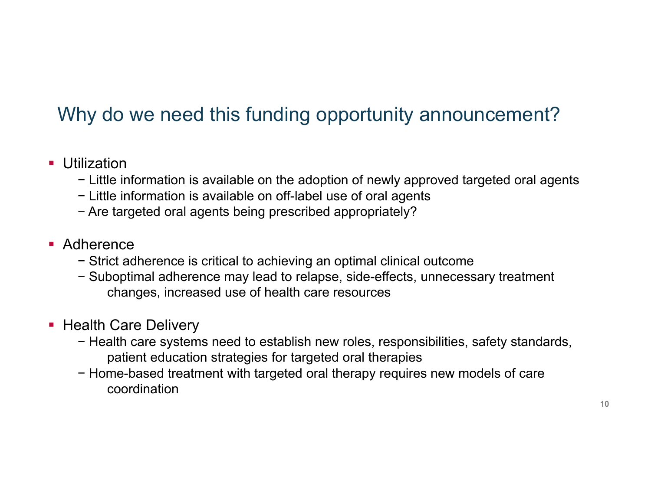## Why do we need this funding opportunity announcement?

#### **Utilization**

- − Little information is available on the adoption of newly approved targeted oral agents
- − Little information is available on off-label use of oral agents
- − Are targeted oral agents being prescribed appropriately?
- Adherence
	- − Strict adherence is critical to achieving an optimal clinical outcome
	- − Suboptimal adherence may lead to relapse, side-effects, unnecessary treatment changes, increased use of health care resources
- Health Care Delivery
	- − Health care systems need to establish new roles, responsibilities, safety standards, patient education strategies for targeted oral therapies
	- − Home-based treatment with targeted oral therapy requires new models of care coordination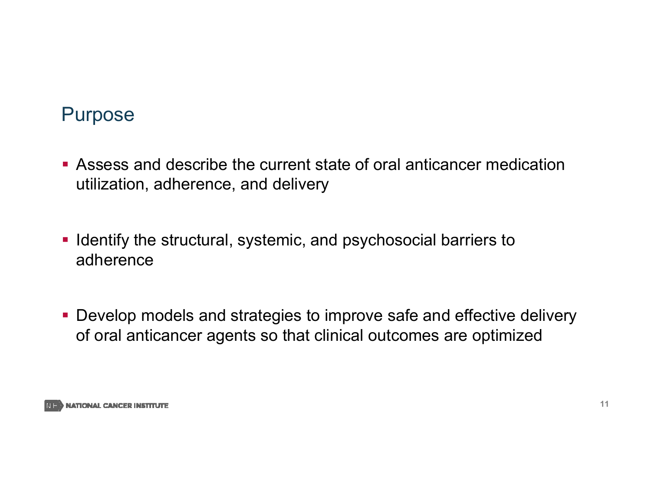#### Purpose

- Assess and describe the current state of oral anticancer medication utilization, adherence, and delivery
- **I** Identify the structural, systemic, and psychosocial barriers to adherence
- **Develop models and strategies to improve safe and effective delivery** of oral anticancer agents so that clinical outcomes are optimized

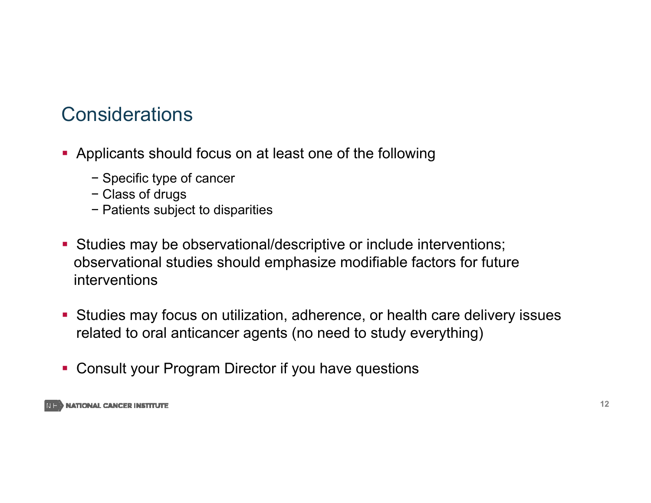## **Considerations**

- Applicants should focus on at least one of the following
	- − Specific type of cancer
	- − Class of drugs
	- − Patients subject to disparities
- Studies may be observational/descriptive or include interventions; observational studies should emphasize modifiable factors for future interventions
- Studies may focus on utilization, adherence, or health care delivery issues related to oral anticancer agents (no need to study everything)
- Consult your Program Director if you have questions

**NATIONAL CANCER INSTITUTE**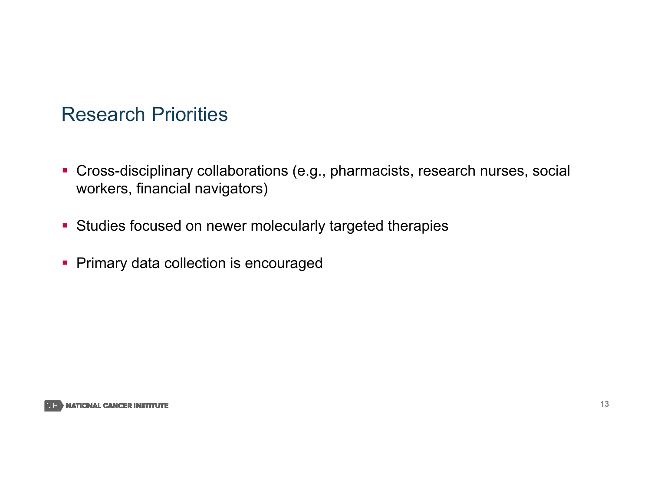### Research Priorities

- Cross-disciplinary collaborations (e.g., pharmacists, research nurses, social workers, financial navigators)
- **Studies focused on newer molecularly targeted therapies**
- **Primary data collection is encouraged**

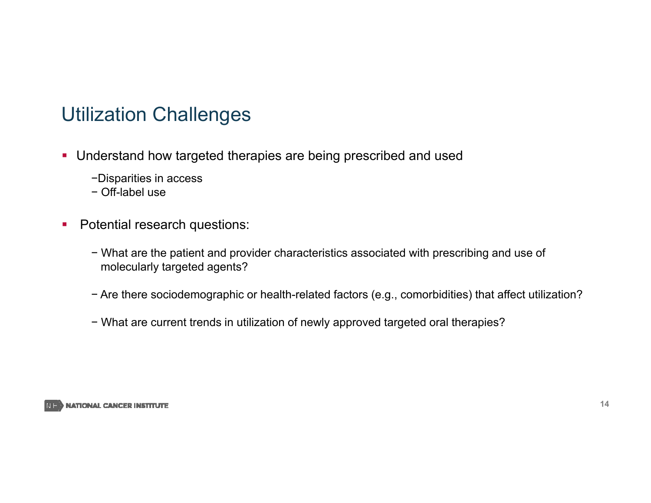## Utilization Challenges

- Understand how targeted therapies are being prescribed and used
	- −Disparities in access
	- − Off-label use
- Potential research questions:
	- − What are the patient and provider characteristics associated with prescribing and use of molecularly targeted agents?
	- − Are there sociodemographic or health-related factors (e.g., comorbidities) that affect utilization?
	- − What are current trends in utilization of newly approved targeted oral therapies?

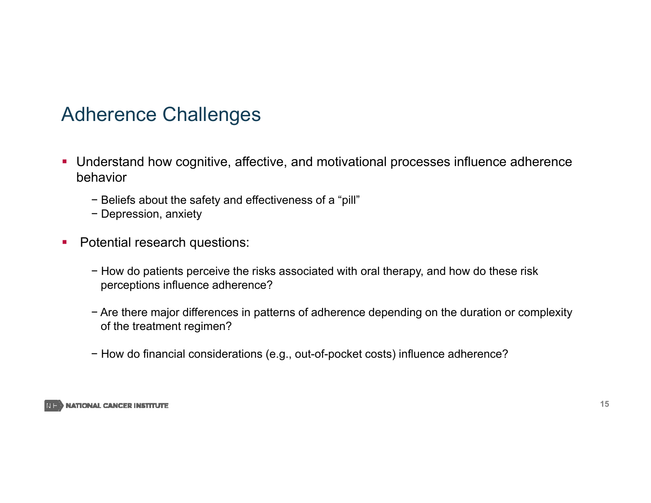## Adherence Challenges

- Understand how cognitive, affective, and motivational processes influence adherence behavior
	- − Beliefs about the safety and effectiveness of a "pill"
	- − Depression, anxiety
- $\blacksquare$  Potential research questions:
	- − How do patients perceive the risks associated with oral therapy, and how do these risk perceptions influence adherence?
	- − Are there major differences in patterns of adherence depending on the duration or complexity of the treatment regimen?
	- − How do financial considerations (e.g., out-of-pocket costs) influence adherence?

**NATIONAL CANCER INSTITUTE**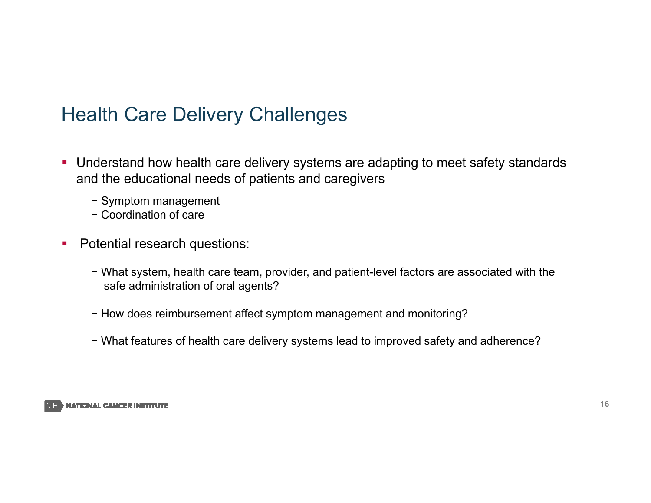## Health Care Delivery Challenges

- Understand how health care delivery systems are adapting to meet safety standards and the educational needs of patients and caregivers
	- − Symptom management
	- − Coordination of care
- Potential research questions:
	- − What system, health care team, provider, and patient-level factors are associated with the safe administration of oral agents?
	- − How does reimbursement affect symptom management and monitoring?
	- − What features of health care delivery systems lead to improved safety and adherence?

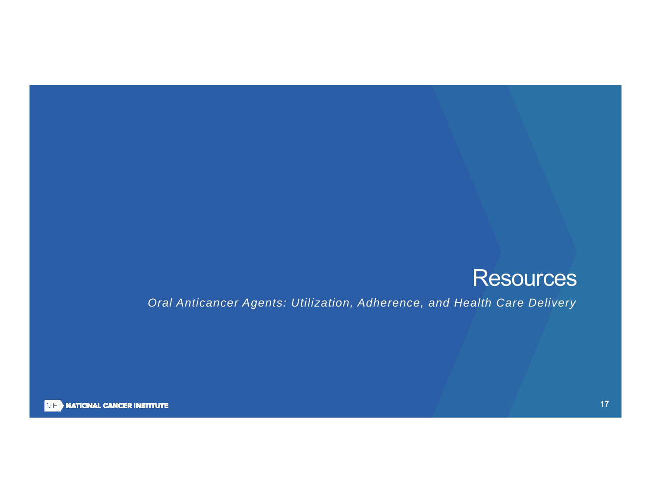## **Resources**

*Oral Anticancer Agents: Utilization, Adherence, and Health Care Delivery* 



**NIEW NATIONAL CANCER INSTITUTE**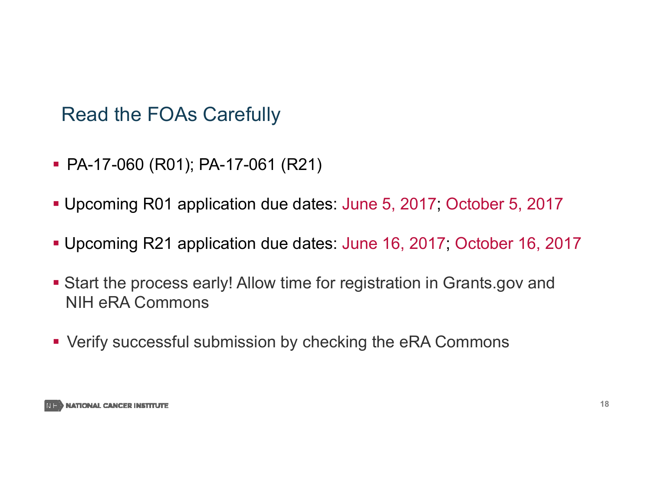## Read the FOAs Carefully

- PA-17-060 (R01); PA-17-061 (R21)
- Upcoming R01 application due dates: June 5, 2017; October 5, 2017
- Upcoming R21 application due dates: June 16, 2017; October 16, 2017
- Start the process early! Allow time for registration in Grants.gov and NIH eRA Commons
- Verify successful submission by checking the eRA Commons

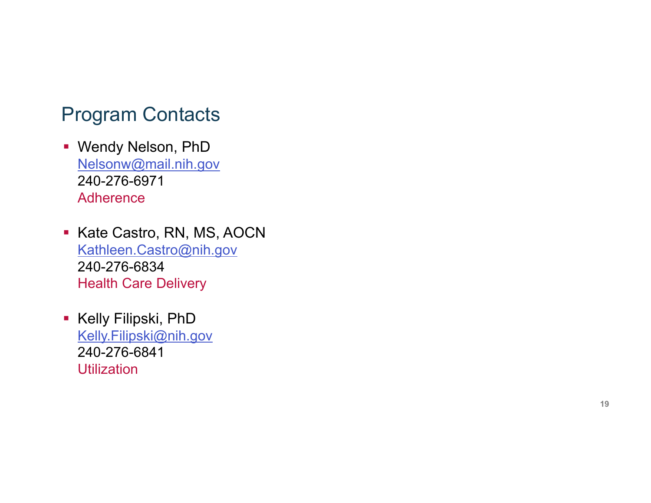### Program Contacts

- Wendy Nelson, PhD Nelsonw@mail.nih.gov 240-276-6971 **Adherence**
- Kate Castro, RN, MS, AOCN Kathleen.Castro@nih.gov 240-276-6834 Health Care Delivery
- Kelly Filipski, PhD Kelly.Filipski@nih.gov 240-276-6841 **Utilization**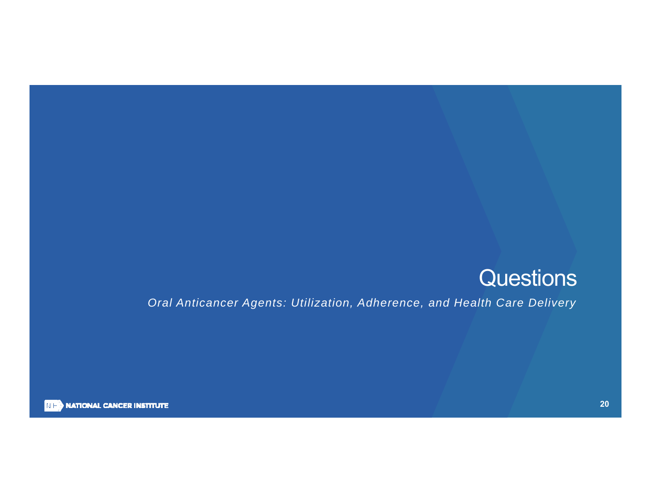## **Questions**

*Oral Anticancer Agents: Utilization, Adherence, and Health Care Delivery* 



**NIEW NATIONAL CANCER INSTITUTE**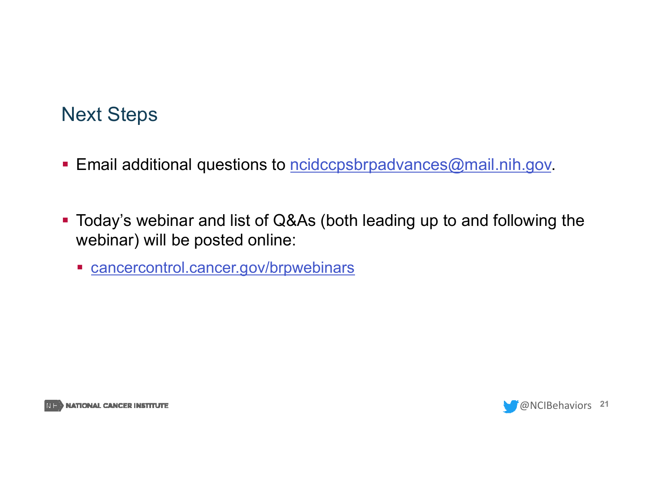## Next Steps

- Email additional questions to <u>ncidccpsbrpadvances@mail.nih.gov.</u>
- Today's webinar and list of Q&As (both leading up to and following the webinar) will be posted online:
	- **Example: Cancercontrol.cancer.gov/brpwebinars**